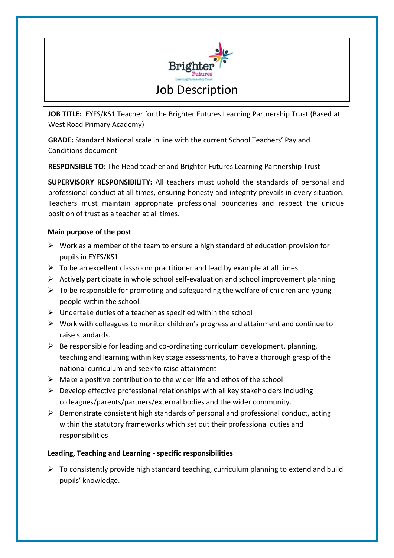

**JOB TITLE:** EYFS/KS1 Teacher for the Brighter Futures Learning Partnership Trust (Based at West Road Primary Academy)

**GRADE:** Standard National scale in line with the current School Teachers' Pay and Conditions document

**RESPONSIBLE TO:** The Head teacher and Brighter Futures Learning Partnership Trust

**SUPERVISORY RESPONSIBILITY:** All teachers must uphold the standards of personal and professional conduct at all times, ensuring honesty and integrity prevails in every situation. Teachers must maintain appropriate professional boundaries and respect the unique position of trust as a teacher at all times.

## **Main purpose of the post**

- $\triangleright$  Work as a member of the team to ensure a high standard of education provision for pupils in EYFS/KS1
- $\triangleright$  To be an excellent classroom practitioner and lead by example at all times
- $\triangleright$  Actively participate in whole school self-evaluation and school improvement planning
- $\triangleright$  To be responsible for promoting and safeguarding the welfare of children and young people within the school.
- $\triangleright$  Undertake duties of a teacher as specified within the school
- $\triangleright$  Work with colleagues to monitor children's progress and attainment and continue to raise standards.
- $\triangleright$  Be responsible for leading and co-ordinating curriculum development, planning, teaching and learning within key stage assessments, to have a thorough grasp of the national curriculum and seek to raise attainment
- $\triangleright$  Make a positive contribution to the wider life and ethos of the school
- $\triangleright$  Develop effective professional relationships with all key stakeholders including colleagues/parents/partners/external bodies and the wider community.
- $\triangleright$  Demonstrate consistent high standards of personal and professional conduct, acting within the statutory frameworks which set out their professional duties and responsibilities

## **Leading, Teaching and Learning - specific responsibilities**

 $\triangleright$  To consistently provide high standard teaching, curriculum planning to extend and build pupils' knowledge.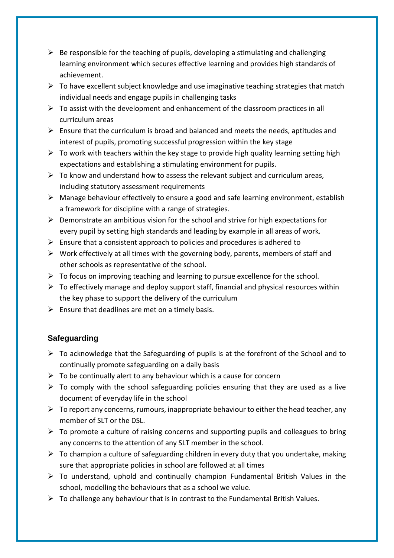- $\triangleright$  Be responsible for the teaching of pupils, developing a stimulating and challenging learning environment which secures effective learning and provides high standards of achievement.
- $\triangleright$  To have excellent subject knowledge and use imaginative teaching strategies that match individual needs and engage pupils in challenging tasks
- $\triangleright$  To assist with the development and enhancement of the classroom practices in all curriculum areas
- $\triangleright$  Ensure that the curriculum is broad and balanced and meets the needs, aptitudes and interest of pupils, promoting successful progression within the key stage
- $\triangleright$  To work with teachers within the key stage to provide high quality learning setting high expectations and establishing a stimulating environment for pupils.
- $\triangleright$  To know and understand how to assess the relevant subject and curriculum areas, including statutory assessment requirements
- $\triangleright$  Manage behaviour effectively to ensure a good and safe learning environment, establish a framework for discipline with a range of strategies.
- $\triangleright$  Demonstrate an ambitious vision for the school and strive for high expectations for every pupil by setting high standards and leading by example in all areas of work.
- $\triangleright$  Ensure that a consistent approach to policies and procedures is adhered to
- $\triangleright$  Work effectively at all times with the governing body, parents, members of staff and other schools as representative of the school.
- $\triangleright$  To focus on improving teaching and learning to pursue excellence for the school.
- $\triangleright$  To effectively manage and deploy support staff, financial and physical resources within the key phase to support the delivery of the curriculum
- $\triangleright$  Ensure that deadlines are met on a timely basis.

## **Safeguarding**

- $\triangleright$  To acknowledge that the Safeguarding of pupils is at the forefront of the School and to continually promote safeguarding on a daily basis
- $\triangleright$  To be continually alert to any behaviour which is a cause for concern
- $\triangleright$  To comply with the school safeguarding policies ensuring that they are used as a live document of everyday life in the school
- $\triangleright$  To report any concerns, rumours, inappropriate behaviour to either the head teacher, any member of SLT or the DSL.
- $\triangleright$  To promote a culture of raising concerns and supporting pupils and colleagues to bring any concerns to the attention of any SLT member in the school.
- $\triangleright$  To champion a culture of safeguarding children in every duty that you undertake, making sure that appropriate policies in school are followed at all times
- $\triangleright$  To understand, uphold and continually champion Fundamental British Values in the school, modelling the behaviours that as a school we value.
- $\triangleright$  To challenge any behaviour that is in contrast to the Fundamental British Values.